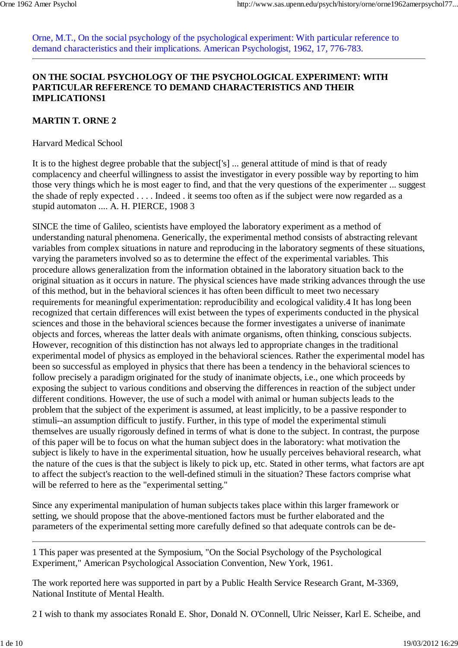Orne, M.T., On the social psychology of the psychological experiment: With particular reference to demand characteristics and their implications. American Psychologist, 1962, 17, 776-783.

#### **ON THE SOCIAL PSYCHOLOGY OF THE PSYCHOLOGICAL EXPERIMENT: WITH PARTICULAR REFERENCE TO DEMAND CHARACTERISTICS AND THEIR IMPLICATIONS1**

## **MARTIN T. ORNE 2**

### Harvard Medical School

It is to the highest degree probable that the subject['s] ... general attitude of mind is that of ready complacency and cheerful willingness to assist the investigator in every possible way by reporting to him those very things which he is most eager to find, and that the very questions of the experimenter ... suggest the shade of reply expected . . . . Indeed . it seems too often as if the subject were now regarded as a stupid automaton .... A. H. PIERCE, 1908 3

SINCE the time of Galileo, scientists have employed the laboratory experiment as a method of understanding natural phenomena. Generically, the experimental method consists of abstracting relevant variables from complex situations in nature and reproducing in the laboratory segments of these situations, varying the parameters involved so as to determine the effect of the experimental variables. This procedure allows generalization from the information obtained in the laboratory situation back to the original situation as it occurs in nature. The physical sciences have made striking advances through the use of this method, but in the behavioral sciences it has often been difficult to meet two necessary requirements for meaningful experimentation: reproducibility and ecological validity.4 It has long been recognized that certain differences will exist between the types of experiments conducted in the physical sciences and those in the behavioral sciences because the former investigates a universe of inanimate objects and forces, whereas the latter deals with animate organisms, often thinking, conscious subjects. However, recognition of this distinction has not always led to appropriate changes in the traditional experimental model of physics as employed in the behavioral sciences. Rather the experimental model has been so successful as employed in physics that there has been a tendency in the behavioral sciences to follow precisely a paradigm originated for the study of inanimate objects, i.e., one which proceeds by exposing the subject to various conditions and observing the differences in reaction of the subject under different conditions. However, the use of such a model with animal or human subjects leads to the problem that the subject of the experiment is assumed, at least implicitly, to be a passive responder to stimuli--an assumption difficult to justify. Further, in this type of model the experimental stimuli themselves are usually rigorously defined in terms of what is done to the subject. In contrast, the purpose of this paper will be to focus on what the human subject does in the laboratory: what motivation the subject is likely to have in the experimental situation, how he usually perceives behavioral research, what the nature of the cues is that the subject is likely to pick up, etc. Stated in other terms, what factors are apt to affect the subject's reaction to the well-defined stimuli in the situation? These factors comprise what will be referred to here as the "experimental setting."

Since any experimental manipulation of human subjects takes place within this larger framework or setting, we should propose that the above-mentioned factors must be further elaborated and the parameters of the experimental setting more carefully defined so that adequate controls can be de-

1 This paper was presented at the Symposium, "On the Social Psychology of the Psychological Experiment," American Psychological Association Convention, New York, 1961.

The work reported here was supported in part by a Public Health Service Research Grant, M-3369, National Institute of Mental Health.

2 I wish to thank my associates Ronald E. Shor, Donald N. O'Connell, Ulric Neisser, Karl E. Scheibe, and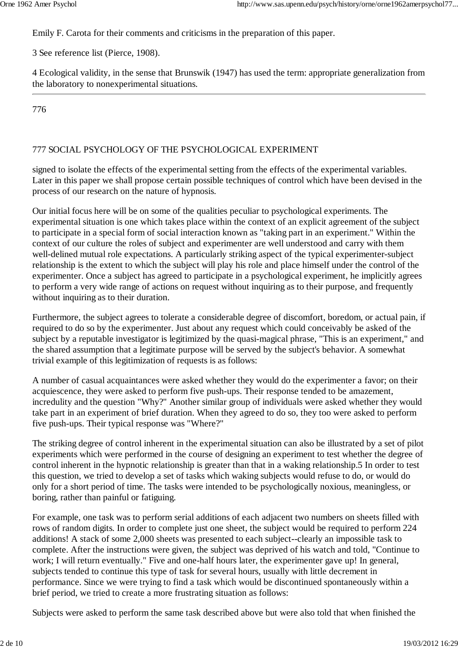Emily F. Carota for their comments and criticisms in the preparation of this paper.

3 See reference list (Pierce, 1908).

4 Ecological validity, in the sense that Brunswik (1947) has used the term: appropriate generalization from the laboratory to nonexperimental situations.

776

#### 777 SOCIAL PSYCHOLOGY OF THE PSYCHOLOGICAL EXPERIMENT

signed to isolate the effects of the experimental setting from the effects of the experimental variables. Later in this paper we shall propose certain possible techniques of control which have been devised in the process of our research on the nature of hypnosis.

Our initial focus here will be on some of the qualities peculiar to psychological experiments. The experimental situation is one which takes place within the context of an explicit agreement of the subject to participate in a special form of social interaction known as "taking part in an experiment." Within the context of our culture the roles of subject and experimenter are well understood and carry with them well-delined mutual role expectations. A particularly striking aspect of the typical experimenter-subject relationship is the extent to which the subject will play his role and place himself under the control of the experimenter. Once a subject has agreed to participate in a psychological experiment, he implicitly agrees to perform a very wide range of actions on request without inquiring as to their purpose, and frequently without inquiring as to their duration.

Furthermore, the subject agrees to tolerate a considerable degree of discomfort, boredom, or actual pain, if required to do so by the experimenter. Just about any request which could conceivably be asked of the subject by a reputable investigator is legitimized by the quasi-magical phrase, "This is an experiment," and the shared assumption that a legitimate purpose will be served by the subject's behavior. A somewhat trivial example of this legitimization of requests is as follows:

A number of casual acquaintances were asked whether they would do the experimenter a favor; on their acquiescence, they were asked to perform five push-ups. Their response tended to be amazement, incredulity and the question "Why?" Another similar group of individuals were asked whether they would take part in an experiment of brief duration. When they agreed to do so, they too were asked to perform five push-ups. Their typical response was "Where?"

The striking degree of control inherent in the experimental situation can also be illustrated by a set of pilot experiments which were performed in the course of designing an experiment to test whether the degree of control inherent in the hypnotic relationship is greater than that in a waking relationship.5 In order to test this question, we tried to develop a set of tasks which waking subjects would refuse to do, or would do only for a short period of time. The tasks were intended to be psychologically noxious, meaningless, or boring, rather than painful or fatiguing.

For example, one task was to perform serial additions of each adjacent two numbers on sheets filled with rows of random digits. In order to complete just one sheet, the subject would be required to perform 224 additions! A stack of some 2,000 sheets was presented to each subject--clearly an impossible task to complete. After the instructions were given, the subject was deprived of his watch and told, "Continue to work; I will return eventually." Five and one-half hours later, the experimenter gave up! In general, subjects tended to continue this type of task for several hours, usually with little decrement in performance. Since we were trying to find a task which would be discontinued spontaneously within a brief period, we tried to create a more frustrating situation as follows:

Subjects were asked to perform the same task described above but were also told that when finished the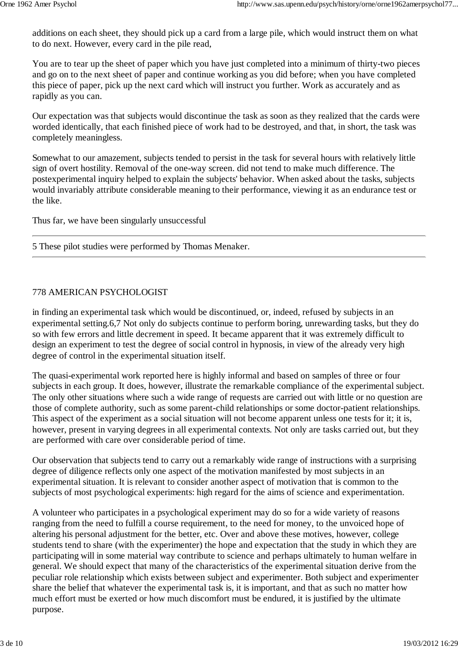additions on each sheet, they should pick up a card from a large pile, which would instruct them on what to do next. However, every card in the pile read,

You are to tear up the sheet of paper which you have just completed into a minimum of thirty-two pieces and go on to the next sheet of paper and continue working as you did before; when you have completed this piece of paper, pick up the next card which will instruct you further. Work as accurately and as rapidly as you can.

Our expectation was that subjects would discontinue the task as soon as they realized that the cards were worded identically, that each finished piece of work had to be destroyed, and that, in short, the task was completely meaningless.

Somewhat to our amazement, subjects tended to persist in the task for several hours with relatively little sign of overt hostility. Removal of the one-way screen. did not tend to make much difference. The postexperimental inquiry helped to explain the subjects' behavior. When asked about the tasks, subjects would invariably attribute considerable meaning to their performance, viewing it as an endurance test or the like.

Thus far, we have been singularly unsuccessful

5 These pilot studies were performed by Thomas Menaker.

### 778 AMERICAN PSYCHOLOGIST

in finding an experimental task which would be discontinued, or, indeed, refused by subjects in an experimental setting.6,7 Not only do subjects continue to perform boring, unrewarding tasks, but they do so with few errors and little decrement in speed. It became apparent that it was extremely difficult to design an experiment to test the degree of social control in hypnosis, in view of the already very high degree of control in the experimental situation itself.

The quasi-experimental work reported here is highly informal and based on samples of three or four subjects in each group. It does, however, illustrate the remarkable compliance of the experimental subject. The only other situations where such a wide range of requests are carried out with little or no question are those of complete authority, such as some parent-child relationships or some doctor-patient relationships. This aspect of the experiment as a social situation will not become apparent unless one tests for it; it is, however, present in varying degrees in all experimental contexts. Not only are tasks carried out, but they are performed with care over considerable period of time.

Our observation that subjects tend to carry out a remarkably wide range of instructions with a surprising degree of diligence reflects only one aspect of the motivation manifested by most subjects in an experimental situation. It is relevant to consider another aspect of motivation that is common to the subjects of most psychological experiments: high regard for the aims of science and experimentation.

A volunteer who participates in a psychological experiment may do so for a wide variety of reasons ranging from the need to fulfill a course requirement, to the need for money, to the unvoiced hope of altering his personal adjustment for the better, etc. Over and above these motives, however, college students tend to share (with the experimenter) the hope and expectation that the study in which they are participating will in some material way contribute to science and perhaps ultimately to human welfare in general. We should expect that many of the characteristics of the experimental situation derive from the peculiar role relationship which exists between subject and experimenter. Both subject and experimenter share the belief that whatever the experimental task is, it is important, and that as such no matter how much effort must be exerted or how much discomfort must be endured, it is justified by the ultimate purpose.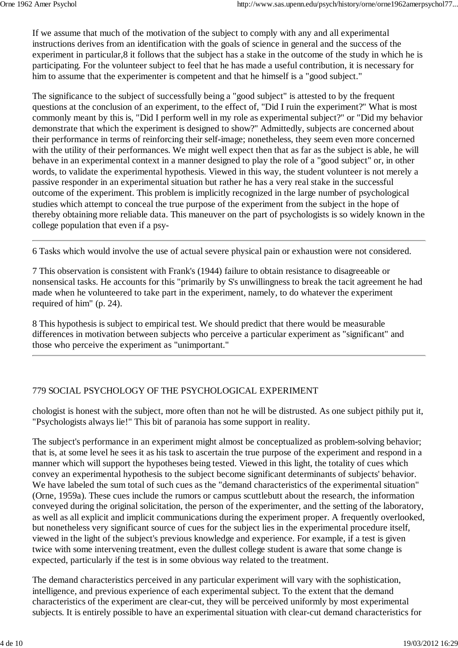If we assume that much of the motivation of the subject to comply with any and all experimental instructions derives from an identification with the goals of science in general and the success of the experiment in particular,8 it follows that the subject has a stake in the outcome of the study in which he is participating. For the volunteer subject to feel that he has made a useful contribution, it is necessary for him to assume that the experimenter is competent and that he himself is a "good subject."

The significance to the subject of successfully being a "good subject" is attested to by the frequent questions at the conclusion of an experiment, to the effect of, "Did I ruin the experiment?" What is most commonly meant by this is, "Did I perform well in my role as experimental subject?" or "Did my behavior demonstrate that which the experiment is designed to show?" Admittedly, subjects are concerned about their performance in terms of reinforcing their self-image; nonetheless, they seem even more concerned with the utility of their performances. We might well expect then that as far as the subject is able, he will behave in an experimental context in a manner designed to play the role of a "good subject" or, in other words, to validate the experimental hypothesis. Viewed in this way, the student volunteer is not merely a passive responder in an experimental situation but rather he has a very real stake in the successful outcome of the experiment. This problem is implicitly recognized in the large number of psychological studies which attempt to conceal the true purpose of the experiment from the subject in the hope of thereby obtaining more reliable data. This maneuver on the part of psychologists is so widely known in the college population that even if a psy-

6 Tasks which would involve the use of actual severe physical pain or exhaustion were not considered.

7 This observation is consistent with Frank's (1944) failure to obtain resistance to disagreeable or nonsensical tasks. He accounts for this "primarily by S's unwillingness to break the tacit agreement he had made when he volunteered to take part in the experiment, namely, to do whatever the experiment required of him" (p. 24).

8 This hypothesis is subject to empirical test. We should predict that there would be measurable differences in motivation between subjects who perceive a particular experiment as "significant" and those who perceive the experiment as "unimportant."

# 779 SOCIAL PSYCHOLOGY OF THE PSYCHOLOGICAL EXPERIMENT

chologist is honest with the subject, more often than not he will be distrusted. As one subject pithily put it, "Psychologists always lie!" This bit of paranoia has some support in reality.

The subject's performance in an experiment might almost be conceptualized as problem-solving behavior; that is, at some level he sees it as his task to ascertain the true purpose of the experiment and respond in a manner which will support the hypotheses being tested. Viewed in this light, the totality of cues which convey an experimental hypothesis to the subject become significant determinants of subjects' behavior. We have labeled the sum total of such cues as the "demand characteristics of the experimental situation" (Orne, 1959a). These cues include the rumors or campus scuttlebutt about the research, the information conveyed during the original solicitation, the person of the experimenter, and the setting of the laboratory, as well as all explicit and implicit communications during the experiment proper. A frequently overlooked, but nonetheless very significant source of cues for the subject lies in the experimental procedure itself, viewed in the light of the subject's previous knowledge and experience. For example, if a test is given twice with some intervening treatment, even the dullest college student is aware that some change is expected, particularly if the test is in some obvious way related to the treatment.

The demand characteristics perceived in any particular experiment will vary with the sophistication, intelligence, and previous experience of each experimental subject. To the extent that the demand characteristics of the experiment are clear-cut, they will be perceived uniformly by most experimental subjects. It is entirely possible to have an experimental situation with clear-cut demand characteristics for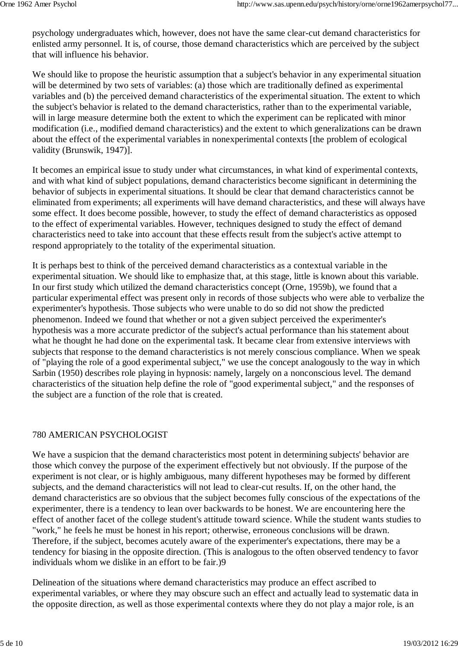psychology undergraduates which, however, does not have the same clear-cut demand characteristics for enlisted army personnel. It is, of course, those demand characteristics which are perceived by the subject that will influence his behavior.

We should like to propose the heuristic assumption that a subject's behavior in any experimental situation will be determined by two sets of variables: (a) those which are traditionally defined as experimental variables and (b) the perceived demand characteristics of the experimental situation. The extent to which the subject's behavior is related to the demand characteristics, rather than to the experimental variable, will in large measure determine both the extent to which the experiment can be replicated with minor modification (i.e., modified demand characteristics) and the extent to which generalizations can be drawn about the effect of the experimental variables in nonexperimental contexts [the problem of ecological validity (Brunswik, 1947)].

It becomes an empirical issue to study under what circumstances, in what kind of experimental contexts, and with what kind of subject populations, demand characteristics become significant in determining the behavior of subjects in experimental situations. It should be clear that demand characteristics cannot be eliminated from experiments; all experiments will have demand characteristics, and these will always have some effect. It does become possible, however, to study the effect of demand characteristics as opposed to the effect of experimental variables. However, techniques designed to study the effect of demand characteristics need to take into account that these effects result from the subject's active attempt to respond appropriately to the totality of the experimental situation.

It is perhaps best to think of the perceived demand characteristics as a contextual variable in the experimental situation. We should like to emphasize that, at this stage, little is known about this variable. In our first study which utilized the demand characteristics concept (Orne, 1959b), we found that a particular experimental effect was present only in records of those subjects who were able to verbalize the experimenter's hypothesis. Those subjects who were unable to do so did not show the predicted phenomenon. Indeed we found that whether or not a given subject perceived the experimenter's hypothesis was a more accurate predictor of the subject's actual performance than his statement about what he thought he had done on the experimental task. It became clear from extensive interviews with subjects that response to the demand characteristics is not merely conscious compliance. When we speak of "playing the role of a good experimental subject," we use the concept analogously to the way in which Sarbin (1950) describes role playing in hypnosis: namely, largely on a nonconscious level. The demand characteristics of the situation help define the role of "good experimental subject," and the responses of the subject are a function of the role that is created.

### 780 AMERICAN PSYCHOLOGIST

We have a suspicion that the demand characteristics most potent in determining subjects' behavior are those which convey the purpose of the experiment effectively but not obviously. If the purpose of the experiment is not clear, or is highly ambiguous, many different hypotheses may be formed by different subjects, and the demand characteristics will not lead to clear-cut results. If, on the other hand, the demand characteristics are so obvious that the subject becomes fully conscious of the expectations of the experimenter, there is a tendency to lean over backwards to be honest. We are encountering here the effect of another facet of the college student's attitude toward science. While the student wants studies to "work," he feels he must be honest in his report; otherwise, erroneous conclusions will be drawn. Therefore, if the subject, becomes acutely aware of the experimenter's expectations, there may be a tendency for biasing in the opposite direction. (This is analogous to the often observed tendency to favor individuals whom we dislike in an effort to be fair.)9

Delineation of the situations where demand characteristics may produce an effect ascribed to experimental variables, or where they may obscure such an effect and actually lead to systematic data in the opposite direction, as well as those experimental contexts where they do not play a major role, is an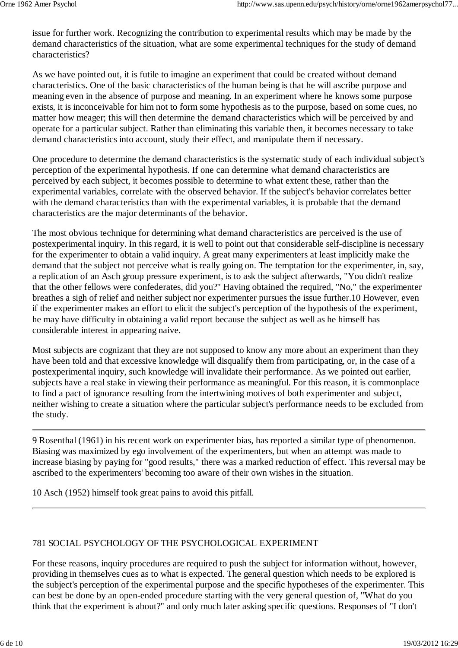issue for further work. Recognizing the contribution to experimental results which may be made by the demand characteristics of the situation, what are some experimental techniques for the study of demand characteristics?

As we have pointed out, it is futile to imagine an experiment that could be created without demand characteristics. One of the basic characteristics of the human being is that he will ascribe purpose and meaning even in the absence of purpose and meaning. In an experiment where he knows some purpose exists, it is inconceivable for him not to form some hypothesis as to the purpose, based on some cues, no matter how meager; this will then determine the demand characteristics which will be perceived by and operate for a particular subject. Rather than eliminating this variable then, it becomes necessary to take demand characteristics into account, study their effect, and manipulate them if necessary.

One procedure to determine the demand characteristics is the systematic study of each individual subject's perception of the experimental hypothesis. If one can determine what demand characteristics are perceived by each subject, it becomes possible to determine to what extent these, rather than the experimental variables, correlate with the observed behavior. If the subject's behavior correlates better with the demand characteristics than with the experimental variables, it is probable that the demand characteristics are the major determinants of the behavior.

The most obvious technique for determining what demand characteristics are perceived is the use of postexperimental inquiry. In this regard, it is well to point out that considerable self-discipline is necessary for the experimenter to obtain a valid inquiry. A great many experimenters at least implicitly make the demand that the subject not perceive what is really going on. The temptation for the experimenter, in, say, a replication of an Asch group pressure experiment, is to ask the subject afterwards, "You didn't realize that the other fellows were confederates, did you?" Having obtained the required, "No," the experimenter breathes a sigh of relief and neither subject nor experimenter pursues the issue further.10 However, even if the experimenter makes an effort to elicit the subject's perception of the hypothesis of the experiment, he may have difficulty in obtaining a valid report because the subject as well as he himself has considerable interest in appearing naive.

Most subjects are cognizant that they are not supposed to know any more about an experiment than they have been told and that excessive knowledge will disqualify them from participating, or, in the case of a postexperimental inquiry, such knowledge will invalidate their performance. As we pointed out earlier, subjects have a real stake in viewing their performance as meaningful. For this reason, it is commonplace to find a pact of ignorance resulting from the intertwining motives of both experimenter and subject, neither wishing to create a situation where the particular subject's performance needs to be excluded from the study.

9 Rosenthal (1961) in his recent work on experimenter bias, has reported a similar type of phenomenon. Biasing was maximized by ego involvement of the experimenters, but when an attempt was made to increase biasing by paying for "good results," there was a marked reduction of effect. This reversal may be ascribed to the experimenters' becoming too aware of their own wishes in the situation.

10 Asch (1952) himself took great pains to avoid this pitfall.

# 781 SOCIAL PSYCHOLOGY OF THE PSYCHOLOGICAL EXPERIMENT

For these reasons, inquiry procedures are required to push the subject for information without, however, providing in themselves cues as to what is expected. The general question which needs to be explored is the subject's perception of the experimental purpose and the specific hypotheses of the experimenter. This can best be done by an open-ended procedure starting with the very general question of, "What do you think that the experiment is about?" and only much later asking specific questions. Responses of "I don't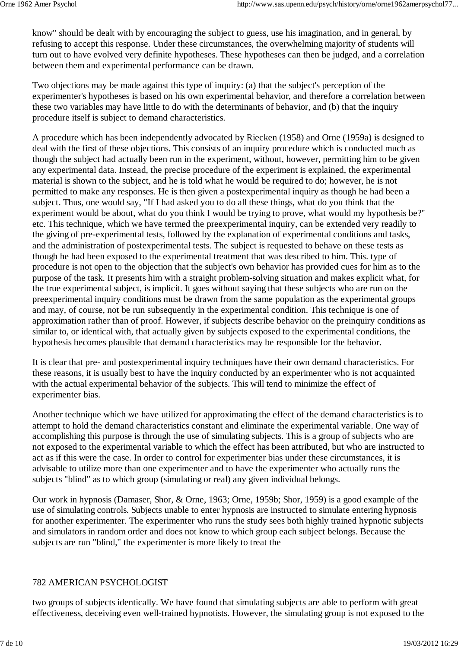know" should be dealt with by encouraging the subject to guess, use his imagination, and in general, by refusing to accept this response. Under these circumstances, the overwhelming majority of students will turn out to have evolved very definite hypotheses. These hypotheses can then be judged, and a correlation between them and experimental performance can be drawn.

Two objections may be made against this type of inquiry: (a) that the subject's perception of the experimenter's hypotheses is based on his own experimental behavior, and therefore a correlation between these two variables may have little to do with the determinants of behavior, and (b) that the inquiry procedure itself is subject to demand characteristics.

A procedure which has been independently advocated by Riecken (1958) and Orne (1959a) is designed to deal with the first of these objections. This consists of an inquiry procedure which is conducted much as though the subject had actually been run in the experiment, without, however, permitting him to be given any experimental data. Instead, the precise procedure of the experiment is explained, the experimental material is shown to the subject, and he is told what he would be required to do; however, he is not permitted to make any responses. He is then given a postexperimental inquiry as though he had been a subject. Thus, one would say, "If I had asked you to do all these things, what do you think that the experiment would be about, what do you think I would be trying to prove, what would my hypothesis be?" etc. This technique, which we have termed the preexperimental inquiry, can be extended very readily to the giving of pre-experimental tests, followed by the explanation of experimental conditions and tasks, and the administration of postexperimental tests. The subject is requested to behave on these tests as though he had been exposed to the experimental treatment that was described to him. This. type of procedure is not open to the objection that the subject's own behavior has provided cues for him as to the purpose of the task. It presents him with a straight problem-solving situation and makes explicit what, for the true experimental subject, is implicit. It goes without saying that these subjects who are run on the preexperimental inquiry conditions must be drawn from the same population as the experimental groups and may, of course, not be run subsequently in the experimental condition. This technique is one of approximation rather than of proof. However, if subjects describe behavior on the preinquiry conditions as similar to, or identical with, that actually given by subjects exposed to the experimental conditions, the hypothesis becomes plausible that demand characteristics may be responsible for the behavior.

It is clear that pre- and postexperimental inquiry techniques have their own demand characteristics. For these reasons, it is usually best to have the inquiry conducted by an experimenter who is not acquainted with the actual experimental behavior of the subjects. This will tend to minimize the effect of experimenter bias.

Another technique which we have utilized for approximating the effect of the demand characteristics is to attempt to hold the demand characteristics constant and eliminate the experimental variable. One way of accomplishing this purpose is through the use of simulating subjects. This is a group of subjects who are not exposed to the experimental variable to which the effect has been attributed, but who are instructed to act as if this were the case. In order to control for experimenter bias under these circumstances, it is advisable to utilize more than one experimenter and to have the experimenter who actually runs the subjects "blind" as to which group (simulating or real) any given individual belongs.

Our work in hypnosis (Damaser, Shor, & Orne, 1963; Orne, 1959b; Shor, 1959) is a good example of the use of simulating controls. Subjects unable to enter hypnosis are instructed to simulate entering hypnosis for another experimenter. The experimenter who runs the study sees both highly trained hypnotic subjects and simulators in random order and does not know to which group each subject belongs. Because the subjects are run "blind," the experimenter is more likely to treat the

### 782 AMERICAN PSYCHOLOGIST

two groups of subjects identically. We have found that simulating subjects are able to perform with great effectiveness, deceiving even well-trained hypnotists. However, the simulating group is not exposed to the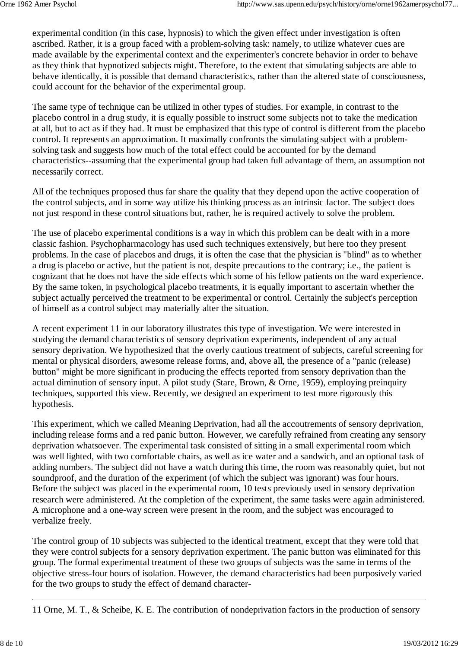experimental condition (in this case, hypnosis) to which the given effect under investigation is often ascribed. Rather, it is a group faced with a problem-solving task: namely, to utilize whatever cues are made available by the experimental context and the experimenter's concrete behavior in order to behave as they think that hypnotized subjects might. Therefore, to the extent that simulating subjects are able to behave identically, it is possible that demand characteristics, rather than the altered state of consciousness, could account for the behavior of the experimental group.

The same type of technique can be utilized in other types of studies. For example, in contrast to the placebo control in a drug study, it is equally possible to instruct some subjects not to take the medication at all, but to act as if they had. It must be emphasized that this type of control is different from the placebo control. It represents an approximation. It maximally confronts the simulating subject with a problemsolving task and suggests how much of the total effect could be accounted for by the demand characteristics--assuming that the experimental group had taken full advantage of them, an assumption not necessarily correct.

All of the techniques proposed thus far share the quality that they depend upon the active cooperation of the control subjects, and in some way utilize his thinking process as an intrinsic factor. The subject does not just respond in these control situations but, rather, he is required actively to solve the problem.

The use of placebo experimental conditions is a way in which this problem can be dealt with in a more classic fashion. Psychopharmacology has used such techniques extensively, but here too they present problems. In the case of placebos and drugs, it is often the case that the physician is "blind" as to whether a drug is placebo or active, but the patient is not, despite precautions to the contrary; i.e., the patient is cognizant that he does not have the side effects which some of his fellow patients on the ward experience. By the same token, in psychological placebo treatments, it is equally important to ascertain whether the subject actually perceived the treatment to be experimental or control. Certainly the subject's perception of himself as a control subject may materially alter the situation.

A recent experiment 11 in our laboratory illustrates this type of investigation. We were interested in studying the demand characteristics of sensory deprivation experiments, independent of any actual sensory deprivation. We hypothesized that the overly cautious treatment of subjects, careful screening for mental or physical disorders, awesome release forms, and, above all, the presence of a "panic (release) button" might be more significant in producing the effects reported from sensory deprivation than the actual diminution of sensory input. A pilot study (Stare, Brown, & Orne, 1959), employing preinquiry techniques, supported this view. Recently, we designed an experiment to test more rigorously this hypothesis.

This experiment, which we called Meaning Deprivation, had all the accoutrements of sensory deprivation, including release forms and a red panic button. However, we carefully refrained from creating any sensory deprivation whatsoever. The experimental task consisted of sitting in a small experimental room which was well lighted, with two comfortable chairs, as well as ice water and a sandwich, and an optional task of adding numbers. The subject did not have a watch during this time, the room was reasonably quiet, but not soundproof, and the duration of the experiment (of which the subject was ignorant) was four hours. Before the subject was placed in the experimental room, 10 tests previously used in sensory deprivation research were administered. At the completion of the experiment, the same tasks were again administered. A microphone and a one-way screen were present in the room, and the subject was encouraged to verbalize freely.

The control group of 10 subjects was subjected to the identical treatment, except that they were told that they were control subjects for a sensory deprivation experiment. The panic button was eliminated for this group. The formal experimental treatment of these two groups of subjects was the same in terms of the objective stress-four hours of isolation. However, the demand characteristics had been purposively varied for the two groups to study the effect of demand character-

11 Orne, M. T., & Scheibe, K. E. The contribution of nondeprivation factors in the production of sensory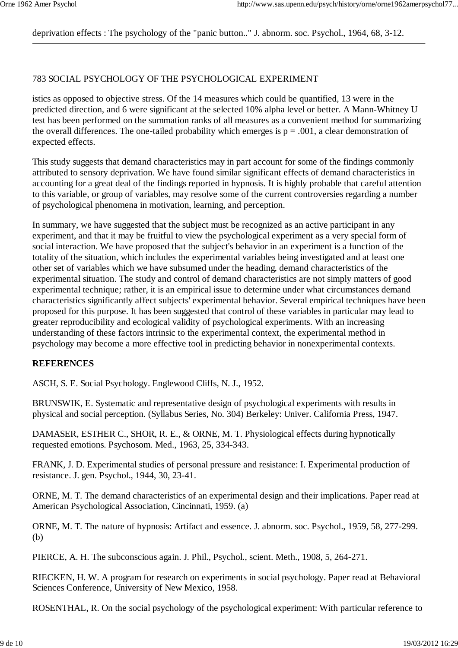deprivation effects : The psychology of the "panic button.." J. abnorm. soc. Psychol., 1964, 68, 3-12.

### 783 SOCIAL PSYCHOLOGY OF THE PSYCHOLOGICAL EXPERIMENT

istics as opposed to objective stress. Of the 14 measures which could be quantified, 13 were in the predicted direction, and 6 were significant at the selected 10% alpha level or better. A Mann-Whitney U test has been performed on the summation ranks of all measures as a convenient method for summarizing the overall differences. The one-tailed probability which emerges is  $p = .001$ , a clear demonstration of expected effects.

This study suggests that demand characteristics may in part account for some of the findings commonly attributed to sensory deprivation. We have found similar significant effects of demand characteristics in accounting for a great deal of the findings reported in hypnosis. It is highly probable that careful attention to this variable, or group of variables, may resolve some of the current controversies regarding a number of psychological phenomena in motivation, learning, and perception.

In summary, we have suggested that the subject must be recognized as an active participant in any experiment, and that it may be fruitful to view the psychological experiment as a very special form of social interaction. We have proposed that the subject's behavior in an experiment is a function of the totality of the situation, which includes the experimental variables being investigated and at least one other set of variables which we have subsumed under the heading, demand characteristics of the experimental situation. The study and control of demand characteristics are not simply matters of good experimental technique; rather, it is an empirical issue to determine under what circumstances demand characteristics significantly affect subjects' experimental behavior. Several empirical techniques have been proposed for this purpose. It has been suggested that control of these variables in particular may lead to greater reproducibility and ecological validity of psychological experiments. With an increasing understanding of these factors intrinsic to the experimental context, the experimental method in psychology may become a more effective tool in predicting behavior in nonexperimental contexts.

#### **REFERENCES**

ASCH, S. E. Social Psychology. Englewood Cliffs, N. J., 1952.

BRUNSWIK, E. Systematic and representative design of psychological experiments with results in physical and social perception. (Syllabus Series, No. 304) Berkeley: Univer. California Press, 1947.

DAMASER, ESTHER C., SHOR, R. E., & ORNE, M. T. Physiological effects during hypnotically requested emotions. Psychosom. Med., 1963, 25, 334-343.

FRANK, J. D. Experimental studies of personal pressure and resistance: I. Experimental production of resistance. J. gen. Psychol., 1944, 30, 23-41.

ORNE, M. T. The demand characteristics of an experimental design and their implications. Paper read at American Psychological Association, Cincinnati, 1959. (a)

ORNE, M. T. The nature of hypnosis: Artifact and essence. J. abnorm. soc. Psychol., 1959, 58, 277-299. (b)

PIERCE, A. H. The subconscious again. J. Phil., Psychol., scient. Meth., 1908, 5, 264-271.

RIECKEN, H. W. A program for research on experiments in social psychology. Paper read at Behavioral Sciences Conference, University of New Mexico, 1958.

ROSENTHAL, R. On the social psychology of the psychological experiment: With particular reference to